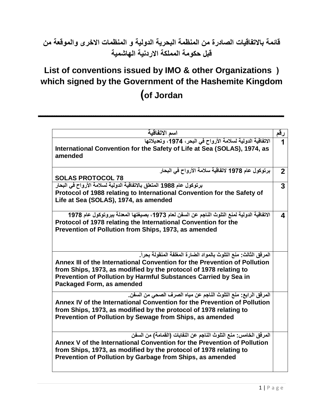## **قائمة باالتفاقيات الصادرة من المنظمة البحرية الدولية و المنظمات االخرى والموقعة من قبل حكومة المملكة االردنية الهاشمية**

## **List of conventions issued by IMO & other Organizations ( which signed by the Government of the Hashemite Kingdom )of Jordan**

**ـــــــــــــــــــــــــــــــــــــــــــــــــــــــــــــــــــــــــــــــــــــــــــــــــــــــــــ**

| اسم الاتفاقية                                                                                                                                                                                                                                                                                                      | رقم            |
|--------------------------------------------------------------------------------------------------------------------------------------------------------------------------------------------------------------------------------------------------------------------------------------------------------------------|----------------|
| الاتفاقية الدولية لسلامة الأرواح في البحر، 1974، وتعديلاتها<br>International Convention for the Safety of Life at Sea (SOLAS), 1974, as<br>amended                                                                                                                                                                 |                |
| برتوكول عام 1978 لاتفاقية سلامة الأرواح في البحار<br><b>SOLAS PROTOCOL 78</b>                                                                                                                                                                                                                                      | $\overline{2}$ |
| برتوكول عام 1988 المتعلق بالاتفاقية الدولية لسلامة الأرواح في البحار                                                                                                                                                                                                                                               | 3              |
| Protocol of 1988 relating to International Convention for the Safety of<br>Life at Sea (SOLAS), 1974, as amended                                                                                                                                                                                                   |                |
| الاتفاقية الدولية لمنع التلوث الناجم عن السفن لعام 1973، بصيغتها المعدلة ببروتوكول عام 1978<br>Protocol of 1978 relating the International Convention for the<br>Prevention of Pollution from Ships, 1973, as amended                                                                                              | 4              |
| المرفق الثالث: منع التلوث بالمواد الضارة المغلفة المنقولة بحراً.<br>Annex III of the International Convention for the Prevention of Pollution<br>from Ships, 1973, as modified by the protocol of 1978 relating to<br>Prevention of Pollution by Harmful Substances Carried by Sea in<br>Packaged Form, as amended |                |
| المرفق الرابع: منع التلوث الناجم عن مياه الصرف الصحي من السفن.<br>Annex IV of the International Convention for the Prevention of Pollution<br>from Ships, 1973, as modified by the protocol of 1978 relating to<br>Prevention of Pollution by Sewage from Ships, as amended                                        |                |
| المرفِّق الخامس: منع التلوث الناجم عن النفايات (القمامة) من السفن<br>Annex V of the International Convention for the Prevention of Pollution<br>from Ships, 1973, as modified by the protocol of 1978 relating to<br>Prevention of Pollution by Garbage from Ships, as amended                                     |                |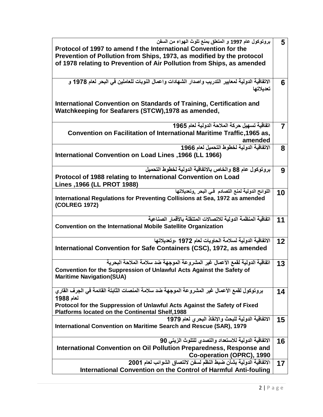| بروتوكول عام 1997 و المتعلق بمنع تلوث الهواء من السفن                                          | 5  |
|------------------------------------------------------------------------------------------------|----|
| Protocol of 1997 to amend f the International Convention for the                               |    |
| Prevention of Pollution from Ships, 1973, as modified by the protocol                          |    |
|                                                                                                |    |
| of 1978 relating to Prevention of Air Pollution from Ships, as amended                         |    |
|                                                                                                |    |
|                                                                                                |    |
| الاتفاقية الدولية لمعايير التدريب واصدار الشهادات واعمال النوبات للعاملين في البحر لعام 1978 و | 6  |
| تعديلاتها                                                                                      |    |
|                                                                                                |    |
|                                                                                                |    |
| International Convention on Standards of Training, Certification and                           |    |
| Watchkeeping for Seafarers (STCW), 1978 as amended,                                            |    |
|                                                                                                |    |
| اتفاقية تسهيل حركة الملاحة الدولية لعام 1965                                                   | 7  |
|                                                                                                |    |
| Convention on Facilitation of International Maritime Traffic, 1965 as,                         |    |
| amended                                                                                        |    |
| الاتفاقية الدولية لخطوط التحميل لعام 1966                                                      | 8  |
| International Convention on Load Lines, 1966 (LL 1966)                                         |    |
|                                                                                                |    |
|                                                                                                |    |
| بروتوكول عام 88 والخاص بالاتفاقية الدولية لخطوط التحميل                                        | 9  |
| Protocol of 1988 relating to International Convention on Load                                  |    |
| Lines , 1966 (LL PROT 1988)                                                                    |    |
|                                                                                                |    |
| اللوائح الدولية لمنع التصادم فى البحر ,وتعديلاتها                                              | 10 |
| International Regulations for Preventing Collisions at Sea, 1972 as amended                    |    |
| (COLREG 1972)                                                                                  |    |
|                                                                                                |    |
| اتفاقية المنظمة الدولية للاتصالات المتنقلة بالأقمار الصناعية                                   | 11 |
| <b>Convention on the International Mobile Satellite Organization</b>                           |    |
|                                                                                                |    |
|                                                                                                |    |
| الاتفاقية الدولية لسلامة الحاويات لعام 1972 ،وتعديلاتها                                        | 12 |
| International Convention for Safe Containers (CSC), 1972, as amended                           |    |
|                                                                                                |    |
| اتفاقية الدولية لقمع الأعمال غير المشروعة الموجهة ضد سلامة الملاحة البحرية                     | 13 |
|                                                                                                |    |
| Convention for the Suppression of Unlawful Acts Against the Safety of                          |    |
| <b>Maritime Navigation(SUA)</b>                                                                |    |
|                                                                                                |    |
| بروتوكول لقمع الأعمال غير المشروعة الموجهة ضد سلامة المنصات الثابتة القائمة في الجرف القاري    | 14 |
| لعام 1988                                                                                      |    |
|                                                                                                |    |
| Protocol for the Suppression of Unlawful Acts Against the Safety of Fixed                      |    |
| <b>Platforms located on the Continental Shelf, 1988</b>                                        |    |
| الاتفاقية الدولية للبحث والإنقاذ البحري لعام 1979                                              | 15 |
| International Convention on Maritime Search and Rescue (SAR), 1979                             |    |
|                                                                                                |    |
|                                                                                                |    |
| الاتفاقية الدولية للاستعداد والتصدى للتلوث الزيتي 90                                           | 16 |
| International Convention on Oil Pollution Preparedness, Response and                           |    |
| Co-operation (OPRC), 1990                                                                      |    |
| الاتفاقية الدولية بشأن ضبط النظم لسفن لالتصاق الشوائب لعام 2001                                | 17 |
|                                                                                                |    |
| International Convention on the Control of Harmful Anti-fouling                                |    |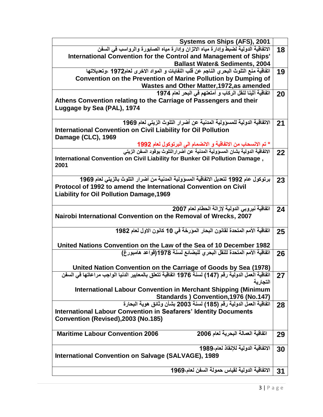| Systems on Ships (AFS), 2001                                                                                                                             |    |
|----------------------------------------------------------------------------------------------------------------------------------------------------------|----|
| الاتفاقية الدولية لضبط وإدارة مياه الاتزان وإدارة مياه الصابورة والرواسب في السفن                                                                        | 18 |
| International Convention for the Control and Management of Ships'                                                                                        |    |
| <b>Ballast Water&amp; Sediments, 2004</b>                                                                                                                |    |
| اتفاقية منع التلوث البحري الناجم عن فلب النفايات و المواد الاخرى لعام1972 ،وتعديلاتها                                                                    | 19 |
| Convention on the Prevention of Marine Pollution by Dumping of                                                                                           |    |
| <b>Wastes and Other Matter, 1972, as amended</b>                                                                                                         |    |
| اتفاقية أثينا لنقل الركاب و أمتعتهم في البحر لعام 1974                                                                                                   | 20 |
| Athens Convention relating to the Carriage of Passengers and their                                                                                       |    |
| Luggage by Sea (PAL), 1974                                                                                                                               |    |
|                                                                                                                                                          |    |
| الاتفاقية الدولية للمسؤولية المدنية عن أضرار التلوث الزيتي لعام 1969                                                                                     | 21 |
| <b>International Convention on Civil Liability for Oil Pollution</b>                                                                                     |    |
| Damage (CLC), 1969                                                                                                                                       |    |
|                                                                                                                                                          |    |
| * تم الانسحاب من الاتفاقية و الانضمام الى البرتوكول لعام <mark>1992</mark><br>الاتفاقية الدولية بشان المسؤولية المدنية عن أضرارالتلوث بوقود السفن الزيتي | 22 |
| International Convention on Civil Liability for Bunker Oil Pollution Damage,                                                                             |    |
| 2001                                                                                                                                                     |    |
|                                                                                                                                                          |    |
| برتوكول عام 1992 لتعديل الاتفاقية المسؤولية المدنية من أضرار التلوث بالزيتي لعام 1969                                                                    | 23 |
| Protocol of 1992 to amend the International Convention on Civil                                                                                          |    |
| <b>Liability for Oil Pollution Damage, 1969</b>                                                                                                          |    |
|                                                                                                                                                          |    |
| اتفاقية نيروبي الدولية لإزالة الحطام لعام 2007                                                                                                           | 24 |
| Nairobi International Convention on the Removal of Wrecks, 2007                                                                                          |    |
|                                                                                                                                                          |    |
| اتفاقية الأمم المتحدة لقانون البحار المؤرخة في 10 كانون الاول لعام 1982                                                                                  | 25 |
|                                                                                                                                                          |    |
| United Nations Convention on the Law of the Sea of 10 December 1982                                                                                      |    |
| اتفاقية الأمم المتحدة للنقل البحر يللبضائع لسنة 1978(قواعد هامبورغ)                                                                                      | 26 |
|                                                                                                                                                          |    |
| United Nation Convention on the Carriage of Goods by Sea (1978)                                                                                          |    |
| اتفاقية العمل الدولية رقم (147) لسنة 1976 اتفاقية تتعلق بالمعايير الدنيا الواجب مراعاتها في السفن                                                        | 27 |
| التحار بة                                                                                                                                                |    |
| International Labour Convention in Merchant Shipping (Minimum                                                                                            |    |
| Standards ) Convention, 1976 (No.147)                                                                                                                    |    |
| اتفاقية العمل الدولية رقم (185) لسنة 2003 بشأن وثائق هوية البحارة                                                                                        | 28 |
| <b>International Labour Convention in Seafarers' Identity Documents</b>                                                                                  |    |
| Convention (Revised), 2003 (No.185)                                                                                                                      |    |
|                                                                                                                                                          |    |
| اتفاقية العمالة البحرية لعام 2006<br><b>Maritime Labour Convention 2006</b>                                                                              | 29 |
|                                                                                                                                                          |    |
| الاتفاقية الدولية للإنقاذ لعام،1989                                                                                                                      | 30 |
| <b>International Convention on Salvage (SALVAGE), 1989</b>                                                                                               |    |
|                                                                                                                                                          |    |
| الاتفاقية الدولية لقياس حمولة السفن لعام،1969                                                                                                            | 31 |